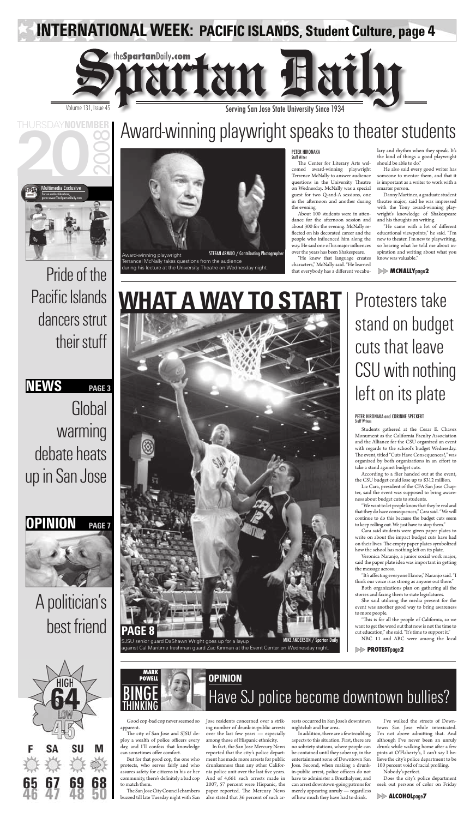**WHAT A WAY TO START**

MIKE ANDERSON / Spartan Daily

**Global** warming debate heats

THURSDAY**NOVEMBER**

# A politician's best friend



# **NEWS PAGE 3**

# Pride of the Pacific Islands dancers strut their stuff



# up in San Jose

Good cop-bad cop never seemed so apparent.

The city of San Jose and SJSU deploy a wealth of police officers every day, and I'll confess that knowledge can sometimes offer comfort.

The San Jose City Council chambers buzzed till late Tuesday night with San

But for that good cop, the one who protects, who serves fairly and who assures safety for citizens in his or her community, there's definitely a bad cop to match them.

Jose residents concerned over a striking number of drunk-in-public arrests over the last few years — especially among those of Hispanic ethnicity.

I've walked the streets of Downtown San Jose while intoxicated. I'm not above admitting that. And although I've never been an unruly drunk while walking home after a few pints at O'Flaherty's, I can't say I believe the city's police department to be 100 percent void of racial profiling.

In fact, the San Jose Mercury News reported that the city's police department has made more arrests for public drunkenness than any other California police unit over the last five years. And of 4,661 such arrests made in 2007, 57 percent were Hispanic, the paper reported. The Mercury News also stated that 36 percent of such arrests occurred in San Jose's downtown nightclub and bar area.

In addition, there are a few troubling aspects to this situation. First, there are no sobriety stations, where people can be contained until they sober up, in the entertainment zone of Downtown San Jose. Second, when making a drunkin-public arrest, police officers do not have to administer a Breathalyzer, and can arrest downtown-going patrons for merely appearing unruly — regardless of how much they have had to drink.

"It's affecting everyone I know," Naranjo said. "I think our voice is as strong as anyone out there."

"This is for all the people of California, so we want to get the word out that now is not the time to cut education," she said. "It's time to support it."

Nobody's perfect.

Does the city's police department seek out persons of color on Friday

The Center for Literary Arts welcomed award-winning playwright Terrence McNally to answer audience questions in the University Theatre on Wednesday. McNally was a special guest for two Q-and-A sessions, one in the afternoon and another during the evening.

> Protesters take stand on budget cuts that leave CSU with nothing left on its plate

About 100 students were in attendance for the afternoon session and about 300 for the evening. McNally reflected on his decorated career and the people who influenced him along the way. He said one of his major influences over the years has been Shakespeare.

"He knew that language creates characters," McNally said. "He learned that everybody has a different vocabu-

> Students gathered at the Cesar E. Chavez Monument as the California Faculty Association and the Alliance for the CSU organized an event with regards to the school's budget Wednesday. The event, titled "Cuts Have Consequences!," was organized by both organizations in an effort to take a stand against budget cuts.

According to a flier handed out at the event,

the CSU budget could lose up to \$312 million.

"He came with a lot of different educational viewpoints," he said. "I'm new to theater. I'm new to playwriting, so hearing what he told me about inspiration and writing about what you know was valuable."

#### PETER HIRONAKA Staff Writer

LENU

Liz Cara, president of the CFA San Jose Chapter, said the event was supposed to bring awareness about budget cuts to students.



SJSU senior guard DaShawn Wright goes up for a layup against Cal Maritime freshman guard Zac Kinman at the Event Center on Wednesday night.

"We want to let people know that they're real and that they do have consequences," Cara said. "We will continue to do this because the budget cuts seem to keep rolling out. We just have to stop them."



Cara said students were given paper plates to write on about the impact budget cuts have had on their lives. The empty paper plates symbolized how the school has nothing left on its plate.

Veronica Naranjo, a junior social work major, said the paper plate idea was important in getting the message across.

Both organizations plan on gathering all the stories and faxing them to state legislatures.

She said utilizing the media present for the event was another good way to bring awareness to more people.

NBC 11 and ABC were among the local

#### PETER HIRONAKA and CORINNE SPECKERT Staff Writers

**PROTEST**page**2**

**ALCOHOL**page**7**



Volume 131, Issue 45 **Serving San Jose State University Since 1934** 

**INTERNATIONAL WEEK: PACIFIC ISLANDS, Student Culture, page 4**

# Award-winning playwright speaks to theater students



lary and rhythm when they speak. It's the kind of things a good playwright should be able to do."

He also said every good writer has someone to mentor them, and that it is important as a writer to work with a smarter person.

Danny Martinez, a graduate student theatre major, said he was impressed with the Tony award-winning playwright's knowledge of Shakespeare and his thoughts on writing.

## **MCNALLY**page**2**

Award-winning playwright Terrancel McNally takes questions from the audience during his lecture at the University Theatre on Wednesday night. STEFAN ARMIJO / Contributing Photographer

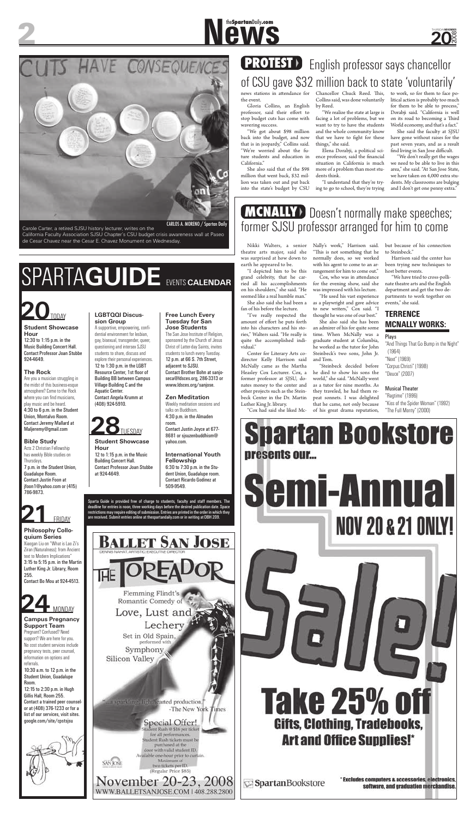**20**

2008

THURSDAY**NOVEMBER**

### **Student Showcase Hour**

12:30 to 1:15 p.m. in the Music Building Concert Hall. Contact Professor Joan Stubbe 924-4649.

### **The Rock**

Are you a musician struggling in the midst of this business-esque atmosphere? Come to the Rock where you can find musicians, play music and be heard. 4:30 to 6 p.m. in the Student Union, Montalvo Room. Contact Jeremy Mallard at Maljeremy@gmail.com

## **Bible Study**

Acts 2 Christian Fellowship has weekly Bible studies on Thursdays. 7 p.m. in the Student Union, Guadalupe Room.

Contact Justin Foon at jfoon1@yahoo.com or (415) 786-9873.

**Philosophy Colloquium Series** Xiaogan Liu on "What is Lao Zi's Ziran (Naturalness): from Ancient text to Modern Implications" 3:15 to 5:15 p.m. in the Martin Luther King Jr. Library, Room 255. Contact Bo Mou at 924-4513.

A supportive, empowering, confidential environment for lesbian, gay, bisexual, transgender, queer, questioning and intersex SJSU students to share, discuss and explore their personal experiences. 12 to 1:30 p.m. in the LGBT Resource Center, 1st floor of Building BB between Campus Village Building C and the Aquatic Center. Contact Angela Krumm at (408) 924-5910.

### **Campus Pregnancy Support Team**

Pregnant? Confused? Need support? We are here for you. No cost student services include pregnancy tests, peer counsel, information on options and referrals.

10:30 a.m. to 12 p.m. in the Student Union, Guadalupe Room.

12:15 to 2:30 p.m. in Hugh Gillis Hall, Room 255. Contact a trained peer counselor at (408) 376-1233 or for a list of our services, visit sites. google.com/site/cpstsjsu



Sparta Guide is provided free of charge to students, faculty and staff members. The FRIDAY are received. Submit entries online at the spartandaily.com or in writing at DBH 209.

llet San Jose

Flemming Flindt's Romantic Comedy of Love, Lust and Lechery Set in Old Spain, Symphony Silicon Valley

at sparkling, lightlicarted production," -The New York Times

> Special Offer! ent Rush @ \$16 per ticket for all performances. itudent Rush tickets must be purchased at the door with valid student ID. Available one-hour prior to curtain. Maximum of

WWW.BALLETSANJOSE.COM | 408.288.2800

two tickets per ID. (Regular Price \$85) Vovember 20-23, 2008 **Semi-Annual NOV 20 & 21 ONLY! Take 25% of** Gifts, Clothing, Tradebooks, **Art and Office Supplies!\*** 

SpartanBookstore

' Excludes computers & accessories, electronics, software, and graduation merchandise.

### **LGBTQQI Discussion Group**

professor, said their effort to stop budget cuts has come with wavering success.

**Student Showcase Hour** 12 to 1:15 p.m. in the Music Building Concert Hall. Contact Professor Joan Stubbe at 924-4649.

#### **Free Lunch Every Tuesday for San Jose Students**

**New Spartan Daily.com** 

## **PROTEST** English professor says chancellor of CSU gave \$32 million back to state 'voluntarily' news stations in attendance for the event. Gloria Collins, an English Chancellor Chuck Reed. This, Collins said, was done voluntarily

The San Jose Institute of Religion, sponsored by the Church of Jesus Christ of Latter-day Saints, invites students to lunch every Tuesday. 12 p.m. at 66 S. 7th Street, adjacent to SJSU. Contact Brother Bohn at sanjoseca@ldsces.org, 286-3313 or www.ldsces.org/sanjose.

### **Zen Meditation**

She said the faculty at SJSU have gone without raises for the past seven years, and as a result find living in San Jose difficult.

Weekly meditation sessions and talks on Buddhism. 4:30 p.m. in the Almaden room.

Contact Justin Joyce at 677- 8681 or sjsuzenbuddhism@ yahoo.com.

### **International Youth Fellowship** 6:30 to 7:30 p.m. in the Stu-

dent Union, Guadalupe room.

Contact Ricardo Godinez at 509-9549.

amount of effort he puts forth into his characters and his stories," Walters said. "He really is quite the accomplished individual."

# SPARTA**GUIDE** EVENTS **CALENDAR**







# Carole Carter, a retired SJSU history lecturer, writes on the California Faculty Association SJSU Chapter's CSU budget crisis awareness wall at Paseo de Cesar Chavez near the Cesar E. Chavez Monument on Wednesday. CARLOS A. MORENO / Spartan Daily

Harrison said the center has been trying new techniques to host better events.

# **MCNALLY** Doesn't normally make speeches; former SJSU professor arranged for him to come

"We got about \$98 million back into the budget, and now that is in jeopardy," Collins said. "We're worried about the future students and education in California."

She also said that of the \$98 million that went back, \$32 million was taken out and put back into the state's budget by CSU by Reed.

"We realize the state at large is facing a lot of problems, but we want to try to have the students and the whole community know that we have to fight for these things," she said.

Elena Dorabji, a political science professor, said the financial situation in California is much more of a problem than most students think.

"I understand that they're trying to go to school, they're trying to work, so for them to face political action is probably too much for them to be able to process," Dorabji said. "California is well on its road to becoming a Third World economy, and that's a fact."

"We don't really get the wages we need to be able to live in this area," she said. "At San Jose State, we have taken on 4,000 extra students. My classrooms are bulging and I don't get one penny extra."

Nikki Walters, a senior theatre arts major, said she was surprised at how down to earth he appeared to be.

"I depicted him to be this grand celebrity, that he carried all his accomplishments on his shoulders," she said. "He seemed like a real humble man." She also said she had been a

fan of his before the lecture.

"I've really respected the

Heasley Cox Lecturer. Cox, a

Center for Literary Arts codirector Kelly Harrison said McNally came as the Martha former professor at SJSU, donates money to the center and other projects such as the Steinbeck Center in the Dr. Martin Luther King Jr. library.

"Cox had said she liked Mc-



Nally's work," Harrison said. "This is not something that he normally does, so we worked with his agent to come to an ar-

rangement for him to come out." Cox, who was in attendance for the evening show, said she was impressed with his lecture.

"He used his vast experience as a playwright and gave advice to new writers," Cox said. "I thought he was one of our best."

She also said she has been an admirer of his for quite some time. When McNally was a graduate student at Columbia, he worked as the tutor for John Steinbeck's two sons, John Jr. and Tom.

"Steinbeck decided before he died to show his sons the world," she said. "McNally went as a tutor for nine months. As they traveled, he had them repeat sonnets. I was delighted that he came, not only because of his great drama reputation, but because of his connection to Steinbeck."

"We have tried to cross-pollinate theatre arts and the English department and get the two departments to work together on events," she said.

# **TERRENCE MCNALLY WORKS:**

### Plays

"And Things That Go Bump in the Night" (1964) "Next" (1969)

"Corpus Christi" (1998) "Deuce" (2007)

### Musical Theater

"Ragtime" (1996) "Kiss of the Spider Woman" (1992) "The Full Monty" (2000)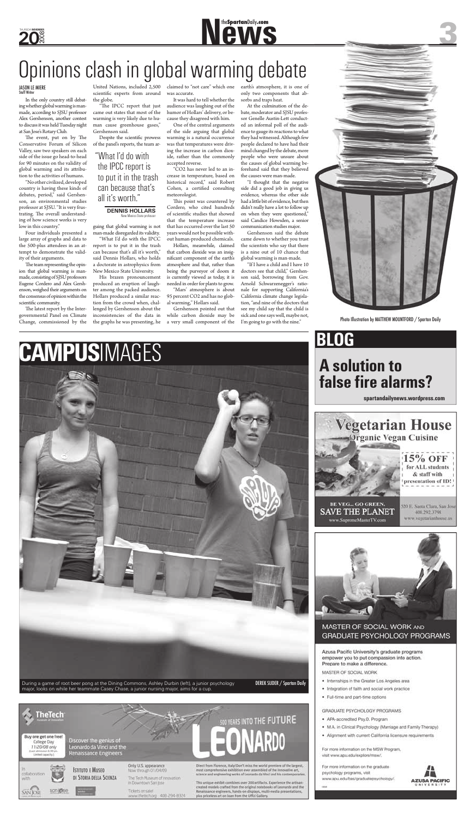**20** 2008 THURSDAY**NOVEMBER**

In the only country still debating whether global warming is manmade, according to SJSU professor Alex Gershenson, another contest to discuss it was held Tuesday night at San Jose's Rotary Club.

The event, put on by The Conservative Forum of Silicon Valley, saw two speakers on each side of the issue go head-to-head for 90 minutes on the validity of global warming and its attribution to the activities of humans.

The latest report by the Intergovernmental Panel on Climate Change, commissioned by the

"No other civilized, developed country is having these kinds of debates, period," said Gershenson, an environmental studies professor at SJSU. "It is very frustrating. The overall understanding of how science works is very low in this country."

scientific experts from around the globe.

"The IPCC report that just came out states that most of the warming is very likely due to human cause greenhouse gases," Gershenson said.

Despite the scientific prowess of the panel's reports, the team ar-

Four individuals presented a large array of graphs and data to the 500-plus attendees in an attempt to demonstrate the validity of their arguments.

The team representing the opinion that global warming is manmade, consisting of SJSU professors Eugene Cordero and Alex Gershenson, weighed their arguments on the consensus of opinion within the scientific community.

This point was countered by Cordero, who cited hundreds of scientific studies that showed that the temperature increase that has occurred over the last 50 years would not be possible without human-produced chemicals.

guing that global warming is not man-made disregarded its validity.

United Nations, included 2,500 claimed to "not care" which one was accurate.

"What I'd do with the IPCC report is to put it in the trash can because that's all it's worth," said Dennis Hollars, who holds a doctorate in astrophysics from New Mexico State University.

His brazen pronouncement produced an eruption of laughter among the packed audience. Hollars produced a similar reaction from the crowd when, challenged by Gershenson about the inconsistencies of the data in the graphs he was presenting, he

It was hard to tell whether the audience was laughing out of the humor of Hollars' delivery, or because they disagreed with him.

One of the central arguments of the side arguing that global warming is a natural occurrence was that temperatures were driving the increase in carbon dioxide, rather than the commonly accepted reverse.

#### **DENNIS HOLLARS New Mexico State professor**

# **A solution to false fire alarms?**

"CO2 has never led to an increase in temperature, based on historical record," said Robert Cohen, a certified consulting meteorologist.

Hollars, meanwhile, claimed that carbon dioxide was an insignificant component of the earth's atmosphere and that, rather than being the purveyor of doom it is currently viewed as today, it is needed in order for plants to grow.

"Mars' atmosphere is about 95 percent CO2 and has no global warming," Hollars said.

Gershenson pointed out that while carbon dioxide may be a very small component of the earth's atmosphere, it is one of only two components that absorbs and traps heat.

At the culmination of the debate, moderator and SJSU professor Genelle Austin-Lett conducted an informal poll of the audience to gauge its reactions to what they had witnessed. Although few people declared to have had their mind changed by the debate, more people who were unsure about the causes of global warming beforehand said that they believed the causes were man-made.

"I thought that the negative side did a good job in giving us evidence, whereas the other side had a little bit of evidence, but then didn't really have a lot to follow up on when they were questioned," said Candice Howsden, a senior communication studies major.

Gershenson said the debate came down to whether you trust the scientists who say that there is a nine out of 10 chance that global warming is man-made.

"If I have a child and I have 10 doctors see that child," Gershenson said, borrowing from Gov. Arnold Schwarzenegger's rationale for supporting California's California climate change legislation, "and nine of the doctors that see my child say that the child is sick and one says well, maybe not, I'm going to go with the nine."



# JASON LE MIERE Staff Writer

# **New SpartanDaily.com**

# Opinions clash in global warming debate

# "What I'd do with the IPCC report is to put it in the trash can because that's all it's worth."

Photo Illustration by MATTHEW MOUNTFORD / Spartan Daily



TheTech 500 YEARS INTO THE FUTURE Buy one get one free! Discover the genius of College Day Leonardo da Vinci and the 11/20/08 only East admission 6:30 p Renaissance Engineers ited (apacity) Only U.S. appearance Direct from Florence, italy! Don't miss the world premiers of the largest, **ISTITUTO E MUSEO** Now through 01/04/09 most comprehensive exhibition ever assembled of the innovative art, collaboration science and empineering works of Leonardo da Vinci and his contemporari DI STORIA DELLA SCIENZA The Tech Museum of Innovation with This unique exhibit combines over 200 artifacts. Experience the artisan-created models crafted from the original notebooks of Leonardo and the In Downtown San Jose san lase Tickets on sale! Renaissance engineers, hands-on displays, multi-media presentations, **SAN JOSE** www.thetech.org 408-294-8324 plus priceless art on loan from the Uffizi Gallery.

## MASTER OF SOCIAL WORK AND **GRADUATE PSYCHOLOGY PROGRAMS**

Azusa Pacific University's graduate programs empower you to put compassion into action. Prepare to make a difference.

MASTER OF SOCIAL WORK

- · Internships in the Greater Los Angeles area
- · Integration of faith and social work practice
- · Full-time and part-time options

GRADUATE PSYCHOLOGY PROGRAMS

- · APA-accredited Psy.D. Program
- . M.A. in Clinical Psychology (Marriage and Family Therapy)
- · Alignment with current California licensure requirements

For more information on the MSW Program, visit www.apu.edu/explore/msw/.

For more information on the graduate psychology programs, visit www.apu.edu/bas/graduatepsychology/.



# **BLOG**

**spartandailynews.wordpress.com**

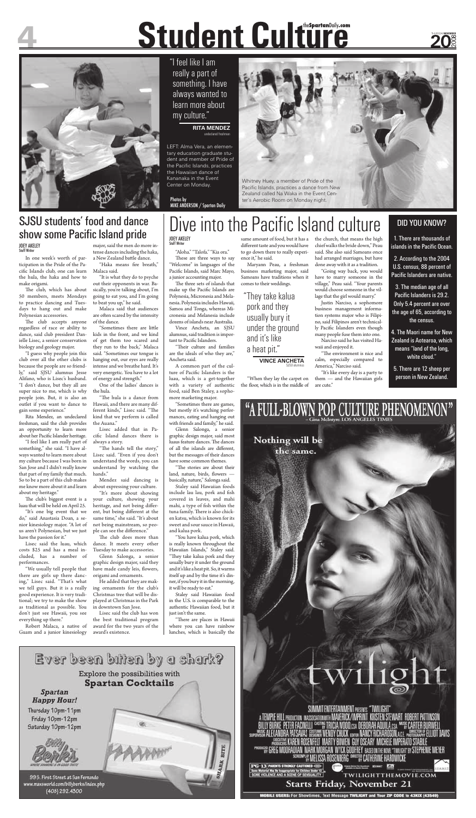"Aloha." "Talofa." "Kia ora." These are three ways to say "Welcome" in languages of the Pacific Islands, said Marc Mayo, a junior accounting major.

The three sets of islands that make up the Pacific Islands are Polynesia, Micronesia and Melanesia. Polynesia includes Hawaii, Samoa and Tonga, whereas Micronesia and Melanesia include dozens of islands near Australia.

Vince Ancheta, an SJSU alumnus, said tradition is important to Pacific Islanders.

"Their culture and families are the ideals of who they are," Ancheta said.

A common part of the culture of Pacific Islanders is the luau, which is a get-together with a variety of authentic food, said Ben Staley, a sophomore marketing major.

"Sometimes there are games, but mostly it's watching performances, eating and hanging out with friends and family," he said.

Glenn Salonga, a senior graphic design major, said most luaus feature dances. The dances of all the islands are different, but the messages of their dances have some common themes.

"There are places in Hawaii where you can have rainbow lunches, which is basically the

"The stories are about their land, nature, birds, flowers -



SUMMIT ENTERTAINMENT PRESENTS "TWILIGHT" A TEMPLE HILL PRODUCTION IN ASSOCIATION WITH MAVERICK/IMPRINT. KRISTEN STEWART. ROBERT PATTINSON : PETER FACINELLI <sup>casti</sup>is tricia wood,csa. Deborah aquila,csa <sup>ma</sup>is carter burwell OSTUME WENDY CHUCK EXTOR NANCY RICHARDSON ALL PHOTOGRAPHY ELLIOT DAVIS MARTY BOWEN GUY OSEARY MICHELE IMPERATO STABILE <sup>PRODUCER</sup> GREG MOORADIAN MARK MORGAN WYCK GODFREY BASED ON THE NOVEL "TWILIGHT BY STEPHENIE MEYER <sup>enel</sup>ay Melissa Rosenberg <sup>dhect</sup>ay Catherine Hardwicke

PG-13 PARENTS STRONGLY CAUTIONED (SED) SOME VIOLENCE AND A SCENE OF SENSUALITY **Starts Friday, November 21** 

**MOBILE USERS: For Showtimes, Text Message TWILIG** 

TWILIGHTTHEMOVIE.COM

"When they lay the carpet on the floor, which is in the middle of

basically, nature," Salonga said.

Staley said Hawaiian foods include lau lau, pork and fish covered in leaves, and mahi mahi, a type of fish within the tuna family. There is also chicken katsu, which is known for its sweet and sour sauce in Hawaii, and kalua pork.

waii and enjoyed it. "The environment is nice and

"You have kalua pork, which is really known throughout the Hawaiian Islands," Staley said. "They take kalua pork and they usually bury it under the ground and it's like a heat pit. So, it warms itself up and by the time it's dinner, if you bury it in the morning, it will be ready to eat."

The club, which has about 50 members, meets Mondays to practice dancing and Tuesdays to hang out and make Polynesian accessories.

> Staley said Hawaiian food in the U.S. is comparable to the authentic Hawaiian food, but it just isn't the same.

The club accepts anyone regardless of race or ability to dance, said club president Danielle Lisec, a senior conservation biology and geology major.

Rita Mendez, an undeclared freshman, said the club provides an opportunity to learn more about her Pacific Islander heritage.

same amount of food, but it has a different taste and you would have to go down there to really experience it," he said.

Maryann Peau, a freshman business marketing major, said Samoans have traditions when it comes to their weddings.

The club's biggest event is a luau that will be held on April 25.

the church, that means the high

chief walks the bride down," Peau said. She also said Samoans once had arranged marriages, but have done away with it as a tradition. "Going way back, you would

major, said the men do more intense dances including the haka, a New Zealand battle dance. "Haka means fire breath,"

> have to marry someone in the village," Peau said. "Your parents would choose someone in the village that the girl would marry."

> Justin Narciso, a sophomore business management information systems major who is Filipino, said Filipinos aren't technically Pacific Islanders even though many people fuse them into one. Narciso said he has visited Ha-

"Sometimes there are little kids in the front, and we kind of get them too scared and they run to the back," Malaca said. "Sometimes our tongue is hanging out, our eyes are really intense and we breathe hard. It's very energetic. You have to a lot of energy and strength."

calm, especially compared to America," Narciso said.

"The hula is a dance from Hawaii, and there are many different kinds," Lisec said. "The kind that we perform is called the Auana."

"It's like every day is a party to them — and the Hawaiian girls are cute."

# **Student Culture** the**Spartan**Daily**.com**

"The hands tell the story," Lisec said. "Even if you don't understand the words, you can understand by watching the hands."

# Dive into the Pacific Island culture DID YOU KNOW?



"It's more about showing your culture, showing your heritage, and not being different, but being different at the same time," she said. "It's about not being mainstream, so people can see the difference."

#### JOEY AKELEY Staff Writer

#### JOEY AKELEY Staff Writer

In one week's worth of participation in the Pride of the Pacific Islands club, one can learn the hula, the haka and how to make origami.

> The club does more than dance. It meets every other Tuesday to make accessories.

# SJSU students' food and dance show some Pacific Island pride

1. There are thousands of islands in the Pacific Ocean.

2. According to the 2004 U.S. census, 88 percent of Pacific Islanders are native.

"I guess why people join this club over all the other clubs is because the people are so friendly," said SJSU alumnus Jesse Alifano, who is Lisec's husband. "I don't dance, but they all are super nice to me, which is why people join. But, it is also an outlet if you want to dance to gain some experience."

"I feel like I am really part of something," she said. "I have always wanted to learn more about my culture because I was born in San Jose and I didn't really know that part of my family that much. So to be a part of this club makes me know more about it and learn about my heritage."

"It's one big event that we do," said Anastasia Doan, a senior kinesiology major. "A lot of us aren't Polynesian, but we just have the passion for it."

Lisec said the luau, which costs \$25 and has a meal included, has a number of performances.

"We usually tell people that there are girls up there dancing," Lisec said. "That's what we tell guys. But it is a really good experience. It is very traditional; we try to make the show as traditional as possible. You don't just see Hawaii, you see everything up there."

Robert Malaca, a native of Guam and a junior kinesiology

Malaca said.

"It is what they do to psyche out their opponents in war. Basically, you're talking about, I'm going to eat you, and I'm going to beat you up," he said.

Malaca said that audiences are often scared by the intensity of the dance.

One of the ladies' dances is the hula.

Lisec added that in Pacific Island dances there is always a story.

Mendez said dancing is about expressing your culture.

Glenn Salonga, a senior graphic design major, said they have made candy leis, flowers, origami and ornaments.

He added that they are making ornaments for the club's Christmas tree that will be displayed at Christmas in the Park in downtown San Jose.

Lisec said the club has won the best traditional program award for the two years of the award's existence.

"They take kalua pork and they usually bury it under the ground and it's like a heat pit."

**VINCE ANCHETA** SJSU alumnus

"I feel like I am really a part of something. I have always wanted to learn more about my culture."

#### **RITA MENDEZ** undeclared freshman

3. The median age of all Pacific Islanders is 29.2. Only 5.4 percent are over the age of 65, according to the census.

4. The Maori name for New Zealand is Aotearoa, which means "land of the long, white cloud."

5. There are 12 sheep per person in New Zealand.





LEFT: Alma Vera, an elementary education graduate student and member of Pride of the Pacific Islands, practices the Hawaiian dance of Kananaka in the Event Center on Monday.

Photos by MIKE ANDERSON / Spartan Daily Whitney Huey, a member of Pride of the Pacific Islands, practices a dance from New Zealand called Na Waka in the Event Center's Aerobic Room on Monday night.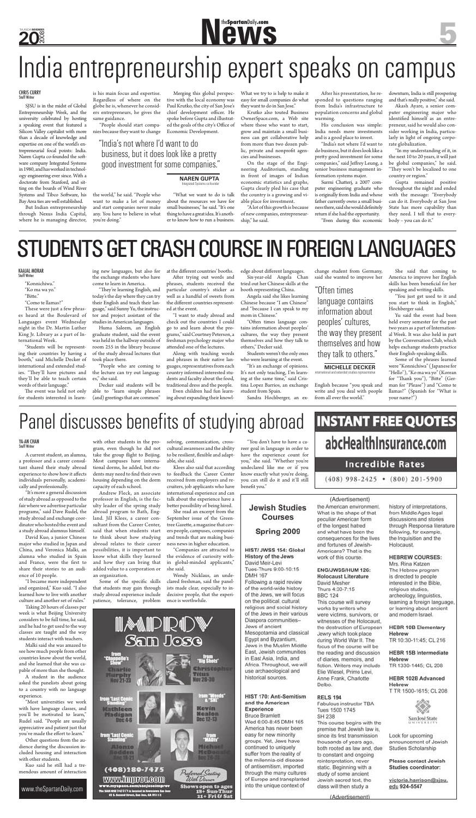**20** 2008 THURSDAY**NOVEMBER**

"Konnichiwa." "Ko ma wa yo."

"Bitte."

"Como te llamas?"

These were just a few phrases heard at the Boulevard of Languages event Wednesday night in the Dr. Martin Luther King Jr. Library as a part of International Week.

The event was held not only for students interested in learn-

"Students will be representing their countries by having a booth," said Michelle Decker of international and extended studies. "They'll have pictures and they'll be able to teach certain words of their language."

"They're learning English, and today's the day where they can try their English and teach their language," said Sunny Yu, the instructor and project assistant of the studies in American languages.

ing new languages, but also for the exchange students who have come to learn in America.

> "I want to study abroad and check out the countries I could go to and learn about the programs," said Courtney Peterson, a freshman psychology major who attended one of the lectures.

Huma Saleem, an English graduate student, said the event was held in the hallway outside of room 255 in the library because of the study abroad lectures that took place there.

edge about different languages. Six-year-old Angela Chan tried out her Chinese skills at the

"People who are coming to the lecture can try out languages," she said.

Decker said students will be able to "learn simple phrases (and) greetings that are common"

at the different countries' booths. After trying out words and

phrases, students received the particular country's sticker as well as a handful of sweets from the different countries represented at the event.

Along with teaching words and phrases in their native languages, representatives from each country informed interested students and faculty about the food, traditional dress and the people.

Even children had fun learning about expanding their knowlbooth representing China. Angela said she likes learning Chinese because "I am Chinese" and "because I can speak to my

mom in Chinese." "Often times language contains information about peoples' cultures, the way they present themselves and how they talk to others," Decker said.

Merging this global perspective with the local economy was Paul Krutko, the city of San Jose's chief development officer. He spoke before Gupta and illustrated the goals of the city's Office of

> Students weren't the only ones who were learning at the event.

> "It's an exchange of opinions. It's not only teaching, I'm learning at the same time," said Cristina Lopez Barrios, an exchange student from Spain.

Sandra Hochberger, an ex-

change student from Germany, said she wanted to improve her

English because "you speak and write and you deal with people from all over the world."

She said that coming to America to improve her English skills has been beneficial for her speaking and writing skills.

"You just get used to it and you start to think in English," Hochberger said.

Yu said the event had been held every semester for the past two years as a part of International Week. It was also held in part by the Conversation Club, which helps exchange students practice their English-speaking skills.

Surmi Chatterj, a 2007 computer engineering graduate who is originally from India and whose father currently owns a small business there, said she would definitely return if she had the opportunity. "Even during this economic

> Some of the phrases learned were "Konnichiwa" ( Japanese for "Hello"), "Ko ma wa yo" (Korean for "Thank you"), "Bitte" (German for "Please") and "Como te llamas?" (Spanish for "What is your name?")

# Panel discusses benefits of studying abroad

#### KAAJAL MORAR Staff Writer

# $\blacksquare$  the Spartan Daily<sub></sub>.com

# India entrepreneurship expert speaks on campus

A current student, an alumna, a professor and a career consultant shared their study abroad experience to show how it affects

SJSU is in the midst of Global Entrepreneurship Week, and the university celebrated by hosting a speaking event that featured a Silicon Valley capitalist with more than a decade of knowledge and expertise on one of the world's entrepreneurial focal points: India. Naren Gupta co-founded the software company Integrated Systems in 1980, and has worked in technology engineering ever since. With a doctorate from Stanford, and sitting on the boards of Wind River Systems and Tibco Software, his Bay Area ties are well established.

But Indian entrepreneurship through Nexus India Capital, where he is managing director, is his main focus and expertise. Regardless of where on the globe he is, whenever he considers entrepreneurs, he gives the same guidance.

"Most universities we work with have language classes, and you'll be motivated to learn," Rudel said. "People are usually appreciative and patient just that you've made the effort to learn."

the world," he said. "People who want to make a lot of money and start companies never make any. You have to believe in what you're doing."

"People should start companies because they want to change Economic Development.

with other students in the program, even though he did not take the group flight to Beijing. Most campuses have international dorms, he added, but students may need to find their own

"What we want to do is talk

about the resources we have for small businesses," he said. "It's one thing to have a great idea. It's another to know how to run a business. What we try to is help to make it easy for small companies do what they want to do in San Jose."

Some of the specific skills that students may gain through study abroad experience include patience, tolerance, problem

received from employers and recruiters, job applicants who have international experience and can talk about the experience have a better possibility of being hired.

Krutko also touted Business OwnerSpace.com, a Web site where those who want to start, grow and maintain a small business can get collaborative help from more than two dozen public, private and nonprofit agencies and businesses.

"Companies are attracted to the evidence of curiosity within global-minded applicants," she said.

On the stage of the Engineering Auditorium, standing in front of images of Indian economic statistics and graphs, Gupta clearly pled his case that the country is a growing and viable place for investment.

"A lot of this growth is because of new companies, entrepreneurship," he said.

After his presentation, he responded to questions ranging from India's infrastructure to population concerns and global warming.

His conclusion was simple: India needs more investments and is a good place to invest.

"India's not where I'd want to do business, but it does look like a pretty good investment for some companies," said Jeffrey Leung, a senior business management information systems major.

downturn, India is still prospering and that's really positive," she said.

Akash Ayare, a senior computer engineering major who identified himself as an entrepreneur, said he would also consider working in India, particularly in light of ongoing corporate globalization.

"In my understanding of it, in the next 10 to 20 years, it will just be global companies," he said. "They won't be localized to one country or region."

Gupta remained positive throughout the night and ended with the message: "Everybody can do it. Everybody at San Jose State has more capability than they need. I tell that to everybody – you can do it."

# STUDENTS GET CRASH COURSE IN FOREIGN LANGUAGES

# CHRIS CURRY Staff Writer

"India's not where I'd want to do business, but it does look like a pretty good investment for some companies."

**NAREN GUPTA** Integrated Systems co-founder

# "Often times

language contains information about peoples' cultures, the way they present themselves and how they talk to others."

**MICHELLE DECKER** international and extended studies representative

individuals personally, academically and professionally.

"It's more a general discussion of study abroad as opposed to the fair where we advertise particular programs," said Dave Rudel, the study abroad and exchange coordinator who hosted the event and a study abroad alumnus himself.

David Kuo, a junior Chinese major who studied in Japan and China, and Veronica Malki, an alumna who studied in Spain and France, were the first to share their stories to an audience of 10 people.

"I became more independent and organized," Kuo said. "I also learned how to live with another culture and another set of rules."

Taking 20 hours of classes per week is what Beijing University considers to be full time, he said, and he had to get used to the way classes are taught and the way students interact with teachers.

Malki said she was amazed to see how much people from other countries know about the world, and she learned that she was capable of more than she thought.

A student in the audience asked the panelists about going to a country with no language experience.

Other questions from the audience during the discussion included housing and interaction with other students.

Kuo said he still had a tremendous amount of interaction housing depending on the dorm capacity of each school.

Andrew Fleck, an associate professor in English, is the faculty leader of the spring study abroad program to Bath, England. Jill Klees, a career consultant from the Career Center, said that when students start to think about how studying abroad relates to their career possibilities, it is important to know what skills they learned and how they can bring that added value to a corporation or an organization.

solving, communication, crosscultural awareness and the ability to be resilient, flexible and adaptable, she said.

Klees also said that according to feedback the Career Center

She read an excerpt from the September issue of the Greentree Gazette, a magazine that covers people, campuses, companies and trends that are making business news in higher education.

Wendy Nicklaus, an undeclared freshman, said the panelists made clear, especially to indecisive people, that the experience is worthwhile.

21+ Fri & Sat

benefit you."

# **Jewish Studies** Courses

# Spring 2009

#### HIST/ JWSS 154: Global History of the Jews David Meir-Levi Tues-Thurs 9:00-10:15

**DMH 167** Following a rapid review

of the world-wide history of the Jews, we will focus on the political, cultural, religious and social history of the Jews in their various Diaspora communities-Jews of ancient Mesopotamia and classical Egypt and Byzantium. Jews in the Muslim Middle East, Jewish communities in East Asia, India, and Africa. Throughout, we will use archaeological and historical sources.

#### HIST 170: Anti-Semitism and the American Experience

**Bruce Bramlett** Wed 6:00-8:45 DMH 165 America has never been easy for new minority groups. Yet, Jews have continued to uniquely suffer from the reality of the millennia-old disease of antisemitism, imported through the many cultures of Europe and transplanted into the unique context of

the American environment. What is the shape of that peculiar American form of the longest hatred and what have been the consequences for the lives and fortunes of Jewish-Americans? That is the work of this course.

#### ENG/JWSS/HUM 126: **Holocaust Literature**

David Mesher Thurs 4:30-7:15 **BBC 124** This course will survey works by writers who were victims, survivors, or witnesses of the Holocaust, the destruction of European Jewry which took place during World War II. The focus of the course will be the reading and discussion of diaries, memoirs, and fiction. Writers may include. Elie Wiesel, Primo Levi, Anne Frank, Charlotte Delbo.

### **RELS 194**

Fabulous instructor TBA Tues 1500 1745 SH 238 This course begins with the premise that Jewish law is, since its first transmission thousands of years ago, both rooted as law and, due to constant and ongoing reinterpretation, never static. Beginning with a study of some ancient Jewish sacred text, the class will then study a

(Advertisement)

 $(408)$  998-2425 •  $(800)$  201-5900

(Advertisement)

history of interpretations, from Middle Ages legal discussions and stories through Responsa literature following, for example, the Inquisition and the Holocaust.

#### **HEBREW COURSES:**

Mrs. Rina Katzen The Hebrew program is directed to people interested in the Bible, religious studies, archeology, linguistics, learning a foreign language, or learning about ancient and modern Israel.

## **HEBR 10B Elementary** Hebrew

TR 10:30-11:45; CL 216

### **HEBR 15B Intermediate** Hebrew

TR 1330-1445; CL 208

#### HEBR 102B Advanced Hebrew T TR 1500-1615; CL 208

San José State

Look for upcoming announcement of Jewish Studies Scholarship

#### Please contact Jewish Studies coordinator:

victoria.harrison@sjsu, edu 924-5547

## MANDIRID<br>9300 mas Christophy **BinPile Titus Nov 28-30** rom "Weeds"<br>"A "SNL" Kevin Hathleen Nealon Madigan Dec 12-13 Dec 4-6 trom Last Comic w. Alonzo dichael lodden <u>icDon</u> (408)280-7475 Preferred Seating With Dinner WWW.HIIIIKOV.COUI 's open to ages Sun-Thur

"You don't have to have a career goal in language in order to have the experience count for you," she said. "Whether you're undeclared like me or if you know exactly what you're doing,

you can still do it and it'll still

# **INSTANT FREE QUOTES** abcHealthInsurance.com **Incredible Rates**

# YA-AN CHAN Staff Writer

www.theSpartanDaily.com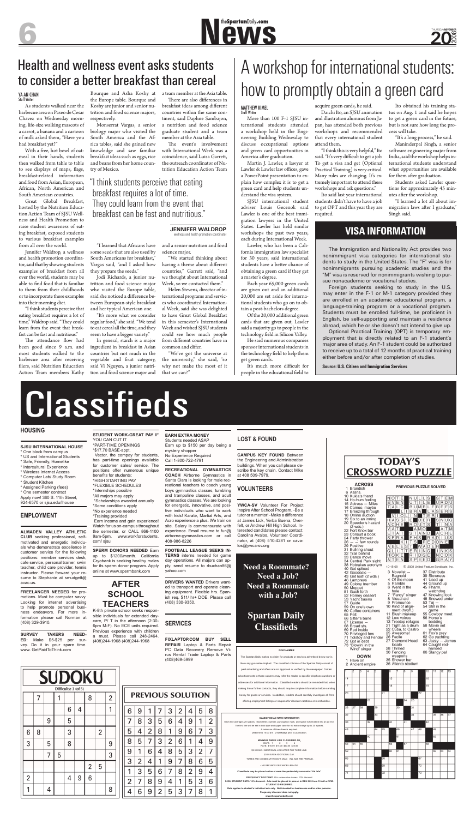# **New SpartanDaily.com**

### **HOUSING**

**SJSU INTERNATIONAL HOUSE** 

\* One block from campus \* US and International Students \* Safe, Friendly, Homelike

- \* Intercultural Experience
- \* Wireless Internet Access

\* Computer Lab/ Study Room

- \* Student Kitchen
- 
- \* Assigned Parking (fees) \* One semester contract

Apply now! 360 S. 11th Street, 924-6570 or sjsu.edu/ihouse

### **EMPLOYMENT**

**ALMADEN VALLEY ATHLETIC CLUB** seeking professional, selfmotivated and energetic individuals who demonstrate excellence in customer service for the following positions: member services desk, cafe service, personal trainer, swim teacher, child care provider, tennis instructor. Please forward your resume to Stephanie at smudgett@ avac.us.

YOU CAN CUT IT \*PART-TIME OPENINGS \*\$17.70 BASE-appt. Vector, the compay for students, has part-time openings available for customer sales/ service. The positions offer numerous unique

benefits for students: \*HIGH STARTING PAY \*FLEXIBLE SCHEDULES \*Internships possible \*All majors may apply \*Scholarships awarded annually \*Some conditions apply \*No experience needed \*Training provided Earn income and gain experience! Watch for us on-campus throughout the semester, or CALL 866-1100 9am-5pm. www.workforstudents. com/ sisu

**FREELANCER NEEDED** for promotions. Must be computer savvy. Looking for internet advertising to help promote personal business endeavors. For more information please call Norman at (408) 329-3910.

**SPERM DONORS NEEDED Earn** up to \$1200/month. California Cryobank is seeking healthy males for its sperm donor program. Apply online at www.spermbank.com

**SURVEY TAKERS NEED-ED:** Make \$5-\$25 per survey. Do it in your spare time. www. GetPaidToThink.com

| <b>SUDOKU</b>        |   |   |   |                |   |                |                |                |  |
|----------------------|---|---|---|----------------|---|----------------|----------------|----------------|--|
| Difficulty: 3 (of 5) |   |   |   |                |   |                |                |                |  |
|                      | 7 |   |   |                |   | 8              |                | $\overline{2}$ |  |
|                      |   |   |   | 6              | 4 |                |                |                |  |
|                      |   | 9 |   | 5              |   |                |                |                |  |
| 6                    | 8 |   |   | 3              |   |                | $\overline{2}$ |                |  |
| 3                    |   | 5 |   | 8              |   |                |                | 9              |  |
|                      |   | 7 | 5 |                |   |                |                | 3              |  |
|                      |   |   |   |                |   | $\overline{2}$ | 5              |                |  |
| $\overline{2}$       |   |   |   | $\overline{4}$ | 9 | 6              |                |                |  |
|                      |   | 4 |   |                |   |                |                | 8              |  |

**STUDENT WORK-GREAT PAY** IF

# **AFTER SCHOOL TEACHERS**

averages 25 spaces. Each letter, number, punctuation mark, and space is formatted into an added into an added into an added into an added into an added into an added into an added into an added into an added into an added The first line will be set in bold type and upper case for no extra charge up to 20 spaces. A minimum of three lines is required.

K-8th private school seeks responsible individuals for extended daycare, P/ T in the afternoon (2:30- 6pm M-F). No ECE units required. Previous experience with children a must. Please call 248-2464. (408)244-1968 (408)244-1968

> 6 9

7 8 3 5 6  $\overline{4}$ 9

5

8 5

9  $\mathbf{1}$ 

3  $\overline{2}$ 

 $\overline{1}$ 3 5  $6 \overline{6}$ 7 8

 $\overline{2}$  $\overline{7}$ 8 9 4  $\mathbf{1}$ 5 3 6

4

1

 $\overline{2}$ 

7

6

 $\overline{4}$ 

9

 $\overline{4}$ 

6

DAYS: 1 2 3 4 RATE: \$10.00 \$15.00 \$20.00 \$25.00 \$2.50 EACH ADDITIONAL LINE AFTER THE THIRD LINE

**EARN EXTRA MONEY**  Students needed ASAP Earn up to \$150 per day being a mystery shopper No Experience Required Call 1-800-722-4791

> **FREQUENCY DISCOUNT:** 40+ consecutive issues: 10% discount **SJSU STUDENT RATE: 10% discount. Ads must be placed in person in DBH 209 from 10 AM or 3PM. STUDENT ID REQUIRED. Rate applies individual ads only. Not intended for bus Frequency discount does not apply.**

**RECREATIONAL GYMNASTICS COACH** Airborne Gymnastics in Santa Clara is looking for male recreational teachers to coach young boys gymnastics classes, tumbling and trampoline classes, and adult gymnastics classes. We are looking for energetic, innovative, and positive individuals who want to work with kids! Karate, Martial Arts, and Acro experience a plus. We train on site. Salary is commensurate with experience. Email resume to fun@ airborne-gymnastics.com or call 408-986-8226

**FOOTBALL LEAGUE SEEKS IN-TERNS** interns needed for game day operations. All majors can apply. send resume to rbuchan86@ yahoo.com

**DRIVERS WANTED** Drivers wanted to transport and operate cleaning equipment. Flexible hrs. Spanish req. \$11/ hr+ DOE. Please call (408) 330-9350.

### **SERVICES**

PREVIOUS SOLUTION

3  $\overline{2}$ 

 $\mathbf{1}$ 

 $\overline{2}$ 6

 $9$ 6

 $\overline{7}$ 

8

3

 $\overline{4}$ 8 5 3  $\overline{2}$ 7

1 9

 $\overline{2}$ 5 3  $\overline{7}$ 8

**FIXLAPTOP.COM BUY SELL REPAIR** Laptop & Parts Repair PC Data Recovery Remove Virus Rental Trade Laptop & Parts (408)469-5999

> 5 8

7

9 4

 $\overline{2}$ 1

3

 $9$ 

5

1

4

 $\mathbf{1}$ 4

8 6

 $\overline{2}$ 

### **LOST & FOUND**

**CAMPUS KEY FOUND** Between the Engineering and Administration buildings. When you call please describe the key chain. Contact MIke at 408 509-7979.

# **TODAY'S CROSSWORD PUZZLE**

# **VOLUNTEERS**

The attendance flow had been good since 9 a.m. and most students walked to the barbecue area after receiving fliers, said Nutrition Education Action Team members Kathy

> **YWCA-SV** Volunteer For Project Inspire After School Program. -Be a tutor or a mentor! -Make a difference at James Lick, Yerba Buena, Overfelt, or Andrew Hill High School. Interested candidates please contact: Carolina Avalos, Volunteer Coordinator, at (408) 510-4281 or cavalos@ywca-sv.org

#### **CLASSIFIED AD RATE INFORMATION**

Deadline is 10:00 am , 2-weekdays prior to publication.

#### **MINIMUM THREE LINE CLASSIFIED AD**:

\$3.00 EACH ADDITIONAL DAY.

The event's involvement with International Week was a coincidence, said Luisa Garrett, the outreach coordinator of Nutrition Education Action Team

• RATES ARE CONSECUTIVE DAYS ONLY. •ALL ADS ARE PREPAID.

• NO REFUNDS ON CANCELLED ADS.

Helen Stevens, director of international programs and services who coordinated International Week, said she was delighted to have Great Global Breakfast in this semester's International Week and wished SJSU students could see how much people from different countries have in common and differ.

**Classifieds may be placed online at www.thespartandaily.com under "Ad Info"**

More than 100 F-1 SJSU international students attended a workshop held in the Engineering Building Wednesday to discuss occupational options and green card opportunities in America after graduation.

**www.thespartandaily.com**

| <b>ACROSS</b><br>1 Brandish<br>6 Assns. | PREVIOUS PUZZLE SOLVED |  |  |  |  |  |  |
|-----------------------------------------|------------------------|--|--|--|--|--|--|
| 10 Kukla's friend                       |                        |  |  |  |  |  |  |
| 14 Ho-hum feeling                       |                        |  |  |  |  |  |  |





#### **DISCLAIMER**

Of the 20,000 additional green cards that are given out, Lawler said a majority go to people in the technology field in Silicon Valley.

The Spartan Daily makes no claim for products or services advertised below nor is there any guarantee implied. The classified columns of the Spartan Daily consist of paid advertising and offers are not approved or verified by the newspaper. Certain advertisements in these columns may refer the reader to specific telephone numbers or addresses for additional information. Classified readers should be reminded that, when naking these further contacts, they should require complete information before sendin money for goods or services. In addition, readers should carefully investigate all firms offering employment listings or coupons for discount vacations or merchandise.

and illustration alumnus from Japan, has attended both previous workshops and recommended that every international student attend them.

**Need a Roommate? Need a Job? Need a Roommate with a Job?**

# **Spartan Daily Classifieds**

"It's a long process," he said. Maninderpal Singh, a senior software engineering major from India, said the workshop helps international students understand what opportunities are available for them after graduation.

As students walked near the barbecue area on Paseo de Cesar Chavez on Wednesday morning, life-size walking mascots of a carrot, a banana and a cartoon of milk asked them, "Have you had breakfast yet?"

> Students asked Lawler questions for approximately 45 minutes after the workshop.

With a free, hot bowl of oatmeal in their hands, students then walked from table to table to see displays of maps, flags, breakfast-related information and food from Asian, European, African, North American and South American countries.

Great Global Breakfast, hosted by the Nutrition Education Action Team of SJSU Wellness and Health Promotion to raise student awareness of eating breakfast, exposed students to various breakfast examples from all over the world.

Jennifer Waldrop, a wellness and health promotion coordinator, said that by showing students examples of breakfast from all over the world, students may be able to find food that is familiar to them from their childhoods or to incorporate these examples into their morning diet.

# Health and wellness event asks students  $\parallel$  A workshop for international students:<br>to consider a better breakfast than cereal how to promptly obtain a green card

"I think students perceive that eating breakfast requires a lot of time," Waldrop said. "They could learn from the event that breakfast can be fast and nutritious."

Bourque and Asha Koshy at the Europe table. Bourque and Koshy are junior and senior nutrition and food science majors, respectively.

Monserrat Vargas, a senior biology major who visited the South America and the Africa tables, said she gained new knowledge and saw familiar breakfast ideas such as eggs, rice and beans from her home country of Mexico.

Vargas said, "and I asked how

they prepare the seeds."

Jodi Richards, a junior nutrition and food science major who visited the Europe table, said she noticed a difference between European-style breakfast and her typical American one. "It's more what we consider regular food," she said. "We tend to eat cereal all the time, and they seem to have a bigger variety." In general, starch is a major ingredient in breakfast in Asian countries but not much in the vegetable and fruit category, said Vi Nguyen, a junior nutrition and food science major and

"I learned that Africans have some seeds that are also used by South Americans for breakfast," and a senior nutrition and food science major.

a team member at the Asia table. There are also differences in breakfast ideas among different countries within the same continent, said Daphne Sambajon, a nutrition and food science graduate student and a team member at the Asia table.

"We started thinking about having a theme about different countries," Garrett said, "and we thought about International Week, so we contacted them."

"We've got the universe at the university," she said, "so why not make the most of it that we can?"

Martin J. Lawler, a lawyer at Lawler & Lawler law offices, gave a PowerPoint presentation to explain how complex it is to get a green card and help students understand the visa system.

SJSU international student adviser Louis Gecenok said Lawler is one of the best immigration lawyers in the United States. Lawler has held similar workshops the past two years, each during International Week.

Lawler, who has been a California immigration law specialist for 30 years, said international students have a better chance of obtaining a green card if they get a master's degree.

Each year 65,000 green cards are given out and an additional 20,000 are set aside for international students who go on to obtain a post-bachelors degree.

He said numerous companies sponsor international students in the technology field to help them get green cards.

It's much more difficult for people in the educational field to acquire green cards, he said. Daichi Ito, an SJSU animation

"I think this is very helpful," Ito said. "It's very difficult to get a job. To get a visa and get (Optional Practical Training) is very critical. Many rules are changing. It's extremely important to attend these workshops and ask questions."

Ito said last year international students didn't have to have a job to get OPT and this year they are required.

Ito obtained his training status on Aug. 1 and said he hopes to get a green card in the future, but is not sure how long the process will take.

"I learned a lot all about immigration laws after I graduate," Singh said.

#### YA-AN CHAN Staff Writer

# MATTHEW KIMEL Staff Writer

The Immigration and Nationality Act provides two nonimmigrant visa categories for international students to study in the United States. The "F" visa is for nonimmigrants pursuing academic studies and the "M" visa is reserved for nonimmigrants wishing to pursue nonacademic or vocational studies.

Foreign students seeking to study in the U.S. may enter in the F-1 or M-1 category provided they are enrolled in an academic educational program, a language-training program or a vocational program. Students must be enrolled full-time, be proficient in English, be self-supporting and maintain a residence abroad, which he or she doesn't not intend to give up.

Optional Practical Training (OPT) is temporary employment that is directly related to an F-1 student's major area of study. An F-1 student could be authorized to receive up to a total of 12 months of practical training either before and/or after completion of studies.

**Source: U.S. Citizen and Immigration Services**

40 Get spliced<br>42 Geodesic –

50 Moppet<br>51 Gush forth

57 Guide

65 Pelt

67 License -

68 Broad sts.<br>69 Red inside

72 Got in debt

1 Have on

# **Classifieds**

# **VISA INFORMATION**

# "I think students perceive that eating breakfast requires a lot of time. They could learn from the event that breakfast can be fast and nutritious."

**JENNIFER WALDROP** wellness and health promotion coordinator

# Health and wellness event asks students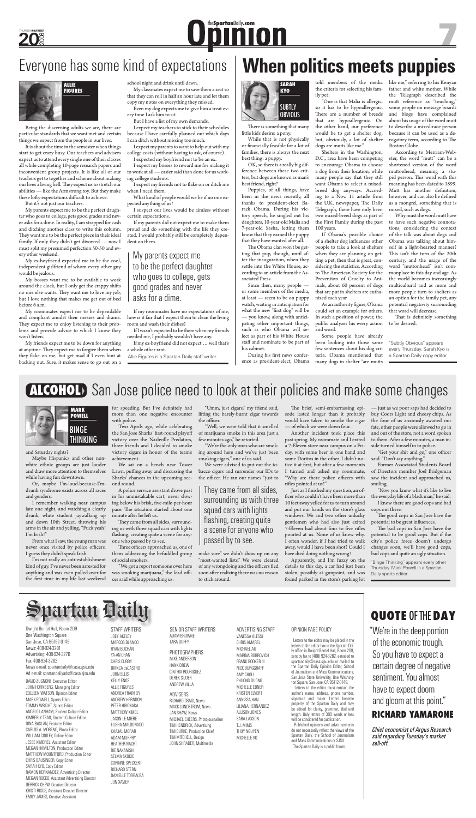DAVID ZUGNONI, Executive Editor JOHN HORNBERG, Managing Editor COLLEEN WATSON, Opinion Editor MARK POWELL, Sports Editor TOMMY WRIGHT, Sports Editor ANGELO LANHAM, Student Culture Editor KIMBERLY TSAO, Student Culture Editor DINA BASLAN, Features Editor CARLOS A. MORENO, Photo Editor WILLIAM COOLEY, Online Editor JESSE KIMBREL, Assistant Editor MEGAN HAMILTON, Production Editor MATTHEW MOUNTFORD, Production Editor CHRIS BAUSINGER, Copy Editor SARAH KYO, Copy Editor RAMON HERNANDEZ, Advertising Director MEGAN ROCKO, Assistant Advertising Director DERRICK CHEW, Creative Director KRISTI RIGGS, Assistant Creative Director EMILY JAMES, Creative Assistant

### OPINION PAGE POLICY

 Letters to the editor may be placed in the letters to the editor box in the Spartan Daily office in Dwight Bentel Hall, Room 209, sent by fax to (408) 924-3282, e-mailed to spartandaily@casa.sjsu.edu or mailed to the Spartan Daily Opinion Editor, School of Journalism and Mass Communications, San Jose State University, One Washington Square, San Jose, CA 95112-0149.

PHOTOGRAPHERS MIKE ANDERSON HANK DREW CINTHIA RODRIGUEZ DEREK SIJDER ANDREW VILLA TARA DUFFY

News: 408-924-3281 Advertising: 408-924-3270 Fax: 408-924-3282 News e-mail: spartandaily@casa.sjsu.edu Ad e-mail: spartandailyads@casa.sjsu.edu Dwight Bentel Hall, Room 209 One Washington Square San Jose, CA 95192-0149 One WashingtonSquare <sup>O</sup>

> Letters to the editor must contain the author's name, address, phone number, signature and major. Letters become property of the Spartan Daily and may be edited for clarity, grammar, libel and length. Only letters of 300 words or less will be considered for publication.

It is about the time in the semester when things start to get crazy busy. Our teachers and advisers expect us to attend every single one of their classes all while completing 10-page research papers and inconvenient group projects. It is like all of our teachers get to together and scheme about making our lives a living hell. They expect us to stretch our abilities — like the Armstrong toy. But they make these lofty expectations difficult to achieve.

> Published opinions and advertisements do not necessarily reflect the views of the Spartan Daily, the School of Journalism and Mass Communications or SJSU. The Spartan Daily is a public forum.

STAFF WRITERS JOEY AKELEY MARCOS BLANCO RYAN BUCHAN YA-AN CHAN CHRIS CURRY BIANCA deCASTRO JOHN ELLIS KELLY ENOS ALLIE FIGURES ANDREA FRAINIER ANDREW HERNDON PETER HIRONAKA MATTHEW KIMEL JASON LE MIERE ELISHA MALDONADO KAAJAL MORAR ADAM MURPHY HEATHER NACHT RIE NAKANISHI SELMA SKOKIC CORINNE SPECKERT RICHARD STERN DANIELLE TORRALBA

JON XAVIER

### SENIOR STAFF WRITERS ADAM BROWNE

### ADVISERS

RICHARD CRAIG, News MACK LUNDSTROM, News JAN SHAW, News MICHAEL CHEERS, Photojournalism TIM HENDRICK, Advertising TIM BURKE, Production Chief TIM MITCHELL, Design JOHN SHRADER, Multimedia

ADVERTISING STAFF

VANESSA ALESSI CHRIS AMAREL MICHAEL AU MARINA BOBROVICH FRANK BOOKER III NICK BURGGRAFF AMY CHOU PHUONG DUONG MICHELLE EBNER KRISTEN ELVERT ANNISSA HAN LILIANA HERNANDEZ ALLISON JONES SARA LAXSON T.J. MIMS THUY NGUYEN MICHELLE VO

I expect my friends not to flake on or ditch me when I need them.

Being the discerning adults we are, there are particular standards that we want met and certain things we expect from the people in our lives.

Maybe Hispanics and other nonwhite ethnic groups are just louder and draw more attention to themselves

I'm not really an anti-establishment kind of guy. I've never been arrested for anything and was even pulled over for the first time in my life last weekend

But it's not just our teachers.

for speeding. But I've definitely had more than one negative encounter with police.

My parents expect me to be the perfect daughter who goes to college, gets good grades and never asks for a dime. In reality, I am strapped for cash and ditching another class to write this column. They want me to be the perfect piece in their ideal family. If only they didn't get divorced … now I must split my presumed perfection 50-50 and every other weekend.

> A police service assistant drove past in his unmistakable cart, never slowing below his brisk, five-mile-per-hour pace. The situation started about one minute after he left us.

They came from all sides, surrounding us with three squad cars with lights flashing, creating quite a scene for anyone who passed by to see.

My ex-boyfriend expected me to be the cool, independent girlfriend of whom every other guy would be jealous.

> Three officers approached us, one of them addressing the befuddled group of social smokers.

"Umm, just cigars," my friend said, lifting the barely-burnt cigar towards the officer.

My bosses want me to be available to work around the clock, but I only get the crappy shifts no one else wants. They want me to love my job, but I love nothing that makes me get out of bed before 6 a.m.

> We were advised to put out the tobacco cigars and surrender our IDs to the officer. He ran our names "just to

My roommates expect me to be dependable and compliant amidst their messes and drama. They expect me to enjoy listening to their problems and provide advice to which I know they won't listen.

> The brief, semi-embarrassing episode lasted longer than it probably would have taken to smoke the cigar — of which we were down four.

My friends expect me to be down for anything at anytime. They expect me to forgive them when they flake on me, but get mad if I even hint at backing out. Sure, it makes sense to go out on a

school night and drink until dawn.

My classmates expect me to save them a seat so that they can roll in half an hour late and let them copy my notes on everything they missed.

> Just as I finished my question, an officer who couldn't have been more than 10 feet away yelled for us to turn around and put our hands on the store's glass windows. We and two other unlucky gentlemen who had also just exited 7-Eleven had about four to five rifles pointed at us. None of us knew why. I often wonder, if I had tried to walk away, would I have been shot? Could I have died doing nothing wrong?

Even my dog expects me to give him a treat every time I ask him to sit.

But I have a list of my own demands.

I expect my teachers to stick to their schedules because I have carefully planned out which days I can ditch without missing too much.

> "Get your shit and go," one officer said. "Don't say anything."

I expect my parents to want to help out with my college costs (without having to ask, of course).

I expected my boyfriend not to be an ex.

I expect my bosses to reward me for making it to work at all — easier said than done for us working college students.

> The bad cops in San Jose have the potential to be good cops. But if the city's police force doesn't undergo changes soon, we'll have good cops, bad cops and quite an ugly situation.

What kind of people would we be if no one expected anything of us?

I suspect our lives would be aimless without certain expectations.

Puppies, of all things, have been in the news recently, all thanks to president-elect Barack Obama. During his victory speech, he singled out his daughters, 10-year-old Malia and 7-year-old Sasha, letting them know that they earned the puppy that they have wanted after all.

If my parents did not expect me to make them proud and do something with the life they created, I would probably still be completely dependent on them.

If my roommates have no expectations of me, how is it fair that I expect them to clean the living room and wash their dishes?

The Obama clan won't be getting that pup, though, until after the inauguration, when they settle into the White House, according to an article from the Associated Press.

If I wasn't expected to be there when my friends needed me, I probably wouldn't have any.

If my ex-boyfriend did not expect … well that's a whole other rant.



# **QUOTE** OF THE **DAY**

During his first news conference as president-elect, Obama

"One is that Malia is allergic, so it has to be hypoallergenic. There are a number of breeds that are hypoallergenic. On the other hand, our preference would be to get a shelter dog, but, obviously, a lot of shelter dogs are mutts like me."

> "We're in the deep portion of the economic trough. So you have to expect a certain degree of negative sentiment. You almost have to expect doom and gloom at this point."

# **RICHARD YAMARONE**

*Chief economist of Argus Research said regarding Tuesday's market sell-off.*

My parents expect me to be the perfect daughter who goes to college, gets good grades and never asks for a dime.

and Saturday nights?

while having fun downtown.

Or, maybe I'm-loud-because-I'mdrunk syndrome exists across all races and genders.

As an authority figure, Obama could set an example for others. In such a position of power, the public analyzes his every action and word.

Some people have already been looking into those same few sentences about his dog criteria. Obama mentioned that many dogs in shelter "are mutts

I remember walking near campus late one night, and watching a clearly drunk, white student jaywalking up and down 10th Street, throwing his arms in the air and yelling, "Fuck yeah! I'm Irish!"

From what I saw, the young man was never once visited by police officers. I guess they didn't speak Irish.

Two Aprils ago, while celebrating the San Jose Sharks' first-round playoff victory over the Nashville Predators, three friends and I decided to smoke victory cigars in honor of the team's achievement.

That is definitely something to be desired.

We sat on a bench near Tower Lawn, puffing away and discussing the Sharks' chances in the upcoming second round.

"We got a report someone over here was smoking marijuana," the lead officer said while approaching us.

"Well, we were told that it smelled of marijuana smoke in this area just a few minutes ago," he retorted.

"We're the only ones who are smoking around here and we've just been smoking cigars," one of us said.

make sure" we didn't show up on any "most-wanted lists." We were cleared of any wrongdoing and the officers fled soon after realizing there was no reason to stick around.

"Why are there police officers with rifles pointed at us?"

Another incident took place this past spring. My roommate and I exited a 7-Eleven store near campus on a Friday, with some beer in one hand and some Doritos in the other. I didn't notice it at first, but after a few moments I turned and asked my roommate,

Apparently, and I'm fuzzy on the details to this day, a car had just been stolen, possibly at gunpoint, and was found parked in the store's parking lot

— just as we poor saps had decided to buy Coors Light and cheesy chips. As the four of us anxiously awaited our fate, other people were allowed to go in and out of the store, not a word spoken to them. After a few minutes, a man inside turned himself in to police.

Former Associated Students Board of Directors member Joel Bridgeman

saw the incident and approached us, smiling.

"Now you know what it's like to live the everyday life of a black man," he said. I know there are good cops and bad cops out there.

The good cops in San Jose have the potential to be great influences.



Allie Figures is a Spartan Daily staff writer.

They came from all sides, surrounding us with three squad cars with lights flashing, creating quite a scene for anyone who passed by to see.

> "Binge Thinking" appears every other Thursday. Mark Powell is a Spartan Daily sports editor.

# $\frac{1}{2}$ partan Daily

While that is not physically or financially feasible for a lot of families, there is always the next best thing: a puppy.

OK, so there is a really big difference between these two critters, but dogs are known as man's best friend, right?

Since then, many people or some members of the media, at least — seem to be on puppy watch, waiting in anticipation for what the new "first dog" will be — you know, along with anticipating other important things, such as who Obama will select as part of his White House staff and nominate to be part of his cabinet.

the criteria for selecting his family pet:

Shelters in the Washington, D.C., area have been competing to encourage Obama to choose a dog from their location, while many people say that they still want Obama to select a mixedbreed dog anyways. According to a Nov. 11 article from the U.K. newspaper, The Daily Telegraph, there have only been two mixed-breed dogs as part of the First Family during the past 100 years.

told members of the media like me," referring to his Kenyan father and white mother. While the Telegraph described the mutt reference as "touching," some people on message boards and blogs have complained about his usage of the word mutt to describe a mixed-race person because it can be used as a derogatory term, according to The Boston Globe.

If Obama's possible choice of a shelter dog influences other people to take a look at shelters when they are planning on getting a pet, then that is great, considering the statistics. According to The American Society for the Prevention of Cruelty to Animals, about 60 percent of dogs that are put in shelters are euthanized each year.

According to Merriam-Webster, the word "mutt" can be a shortened version of the word muttonhead, meaning a stupid person. This word with this meaning has been dated to 1899. Mutt has another definition, however, and can also be defined as a mongrel, something that is mixed, such as dogs.

Why must the word mutt have to have such negative connotations, considering the context of the talk was about dogs and Obama was talking about himself in a light-hearted manner? This isn't the turn of the 20th century, and the usage of the word "muttonhead" isn't commonplace in this day and age. As the world becomes increasingly multicultural and as more and more people turn to shelters as an option for the family pet, any potential negativity surrounding that word will decrease.

# Everyone has some kind of expectations **When politics meets puppies**



There is something that many little kids desire: a pony.

> "Subtly Obvious" appears every Thursday. Sarah Kyo is a Spartan Daily copy editor.

# **ALCOHOL** San Jose police need to look at their policies and make some changes

## **20** 2008 THURSDAY**NOVEMBER**

# **OperatonDaily.com**